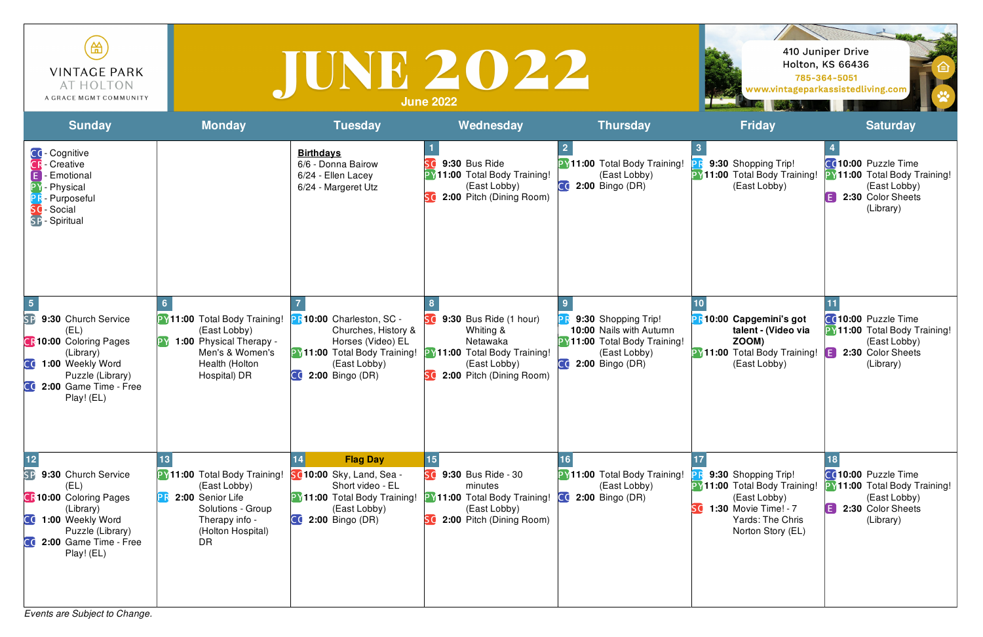*Events are Subject to Change.*

| 笽<br><b>VINTAGE PARK</b><br>AT HOLTON<br>A GRACE MGMT COMMUNITY                                                                                                                                                     |                                                                                                                                                  | IUNE 2022                                                                                                                                      | <b>June 2022</b>                                                                                                                         |                                                                                                                                      |                                                                                                                                             | 410 Juniper Drive<br><b>Holton, KS 66436</b><br>785-364-5051<br>www.vintageparkassistedliving.com                 |
|---------------------------------------------------------------------------------------------------------------------------------------------------------------------------------------------------------------------|--------------------------------------------------------------------------------------------------------------------------------------------------|------------------------------------------------------------------------------------------------------------------------------------------------|------------------------------------------------------------------------------------------------------------------------------------------|--------------------------------------------------------------------------------------------------------------------------------------|---------------------------------------------------------------------------------------------------------------------------------------------|-------------------------------------------------------------------------------------------------------------------|
| <b>Sunday</b>                                                                                                                                                                                                       | <b>Monday</b>                                                                                                                                    | <b>Tuesday</b>                                                                                                                                 | Wednesday                                                                                                                                | <b>Thursday</b>                                                                                                                      | <b>Friday</b>                                                                                                                               | <b>Saturday</b>                                                                                                   |
| CC-Cognitive<br><b>CR</b> - Creative<br>Emotional<br>- Physical<br>Purposeful<br>Social<br>SP - Spiritual                                                                                                           |                                                                                                                                                  | <b>Birthdays</b><br>6/6 - Donna Bairow<br>6/24 - Ellen Lacey<br>6/24 - Margeret Utz                                                            | 9:30 Bus Ride<br><b>PY11:00</b> Total Body Training!<br>(East Lobby)<br>2:00 Pitch (Dining Room)                                         | <b>PY11:00 Total Body Training!</b><br>(East Lobby)<br>$C0$ 2:00 Bingo (DR)                                                          | 9:30 Shopping Trip!<br><b>PY11:00 Total Body Training!</b><br>(East Lobby)                                                                  | CO10:00 Puzzle Time<br><b>PY11:00 Total Body Training!</b><br>(East Lobby)<br>E<br>2:30 Color Sheets<br>(Library) |
| $\sqrt{5}$<br>SP<br>9:30 Church Service<br>(EL)<br><b>CR10:00 Coloring Pages</b><br>(Library)<br>CC 1:00 Weekly Word<br>Puzzle (Library)<br>CC 2:00 Game Time - Free<br>Play! (EL)                                  | PY11:00 Total Body Training!<br>(East Lobby)<br><b>PY 1:00 Physical Therapy -</b><br>Men's & Women's<br>Health (Holton<br>Hospital) DR           | PR10:00 Charleston, SC -<br>Churches, History &<br>Horses (Video) EL<br>PY11:00 Total Body Training!<br>(East Lobby)<br><b>2:00 Bingo (DR)</b> | 9:30 Bus Ride (1 hour)<br>Whiting &<br>Netawaka<br><b>PY11:00 Total Body Training!</b><br>(East Lobby)<br>2:00 Pitch (Dining Room)<br>Sđ | 9:30 Shopping Trip!<br><b>10:00 Nails with Autumn</b><br><b>PY11:00 Total Body Training!</b><br>(East Lobby)<br>$CQ$ 2:00 Bingo (DR) | <b>PR10:00 Capgemini's got</b><br>talent - (Video via<br>ZOOM)<br>PY11:00 Total Body Training!<br>(East Lobby)                              | CO10:00 Puzzle Time<br><b>PY11:00 Total Body Training!</b><br>(East Lobby)<br>A<br>2:30 Color Sheets<br>(Library) |
| $\boxed{12}$<br><b>SP</b><br>9:30 Church Service<br>(EL)<br><b>CR10:00 Coloring Pages</b><br>(Library)<br>CC 1:00 Weekly Word<br>Puzzle (Library)<br>$\mathsf{C} \mathsf{C}$<br>2:00 Game Time - Free<br>Play! (EL) | <b>PY11:00 Total Body Training!</b><br>(East Lobby)<br>2:00 Senior Life<br>Solutions - Group<br>Therapy info -<br>(Holton Hospital)<br><b>DR</b> | <b>Flag Day</b><br>SC10:00 Sky, Land, Sea -<br>Short video - EL<br>PY11:00 Total Body Training!<br>(East Lobby)<br><b>2:00 Bingo (DR)</b>      | 15<br>Sd<br>9:30 Bus Ride - 30<br>minutes<br><b>PY11:00 Total Body Training!</b><br>(East Lobby)<br>SC 2:00 Pitch (Dining Room)          | <b>PY11:00 Total Body Training!</b><br>(East Lobby)<br>2:00 Bingo (DR)<br>$\overline{\mathsf{C}}$ d                                  | 9:30 Shopping Trip!<br><b>PY11:00 Total Body Training!</b><br>(East Lobby)<br>1:30 Movie Time! - 7<br>Yards: The Chris<br>Norton Story (EL) | CO10:00 Puzzle Time<br><b>PY11:00 Total Body Training!</b><br>(East Lobby)<br>2:30 Color Sheets<br>E<br>(Library) |